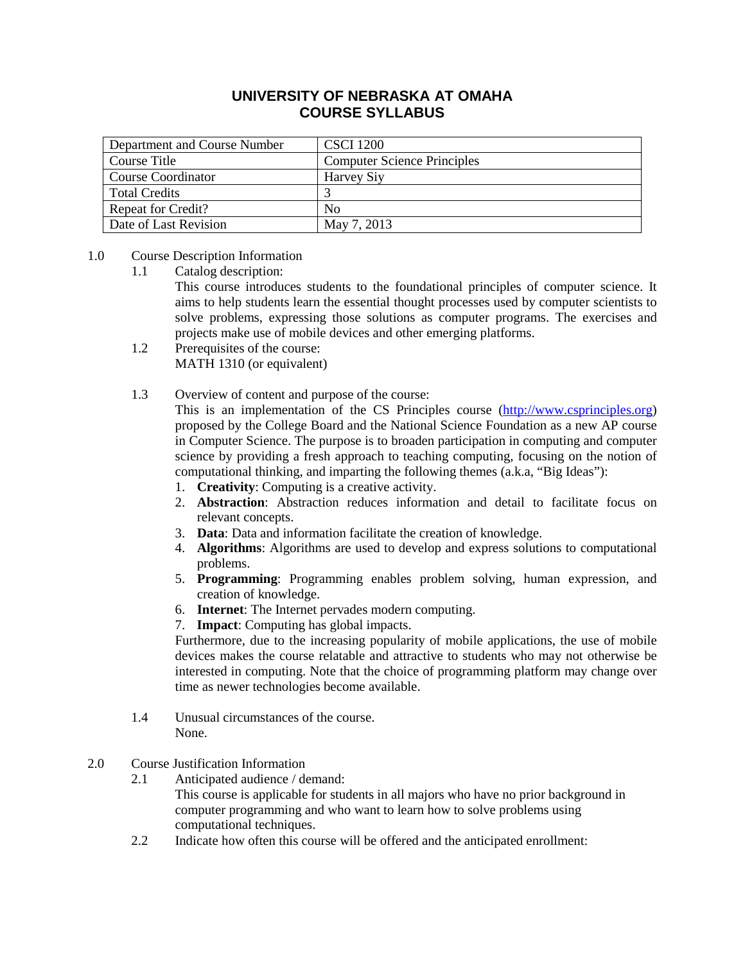# **UNIVERSITY OF NEBRASKA AT OMAHA COURSE SYLLABUS**

| Department and Course Number | <b>CSCI</b> 1200                   |
|------------------------------|------------------------------------|
| Course Title                 | <b>Computer Science Principles</b> |
| Course Coordinator           | Harvey Siy                         |
| <b>Total Credits</b>         |                                    |
| <b>Repeat for Credit?</b>    | N <sub>0</sub>                     |
| Date of Last Revision        | May 7, 2013                        |

# 1.0 Course Description Information

1.1 Catalog description:

This course introduces students to the foundational principles of computer science. It aims to help students learn the essential thought processes used by computer scientists to solve problems, expressing those solutions as computer programs. The exercises and projects make use of mobile devices and other emerging platforms.

- 1.2 Prerequisites of the course: MATH 1310 (or equivalent)
- 1.3 Overview of content and purpose of the course:

This is an implementation of the CS Principles course [\(http://www.csprinciples.org\)](http://www.csprinciples.org/) proposed by the College Board and the National Science Foundation as a new AP course in Computer Science. The purpose is to broaden participation in computing and computer science by providing a fresh approach to teaching computing, focusing on the notion of computational thinking, and imparting the following themes (a.k.a, "Big Ideas"):

- 1. **Creativity**: Computing is a creative activity.
- 2. **Abstraction**: Abstraction reduces information and detail to facilitate focus on relevant concepts.
- 3. **Data**: Data and information facilitate the creation of knowledge.
- 4. **Algorithms**: Algorithms are used to develop and express solutions to computational problems.
- 5. **Programming**: Programming enables problem solving, human expression, and creation of knowledge.
- 6. **Internet**: The Internet pervades modern computing.
- 7. **Impact**: Computing has global impacts.

Furthermore, due to the increasing popularity of mobile applications, the use of mobile devices makes the course relatable and attractive to students who may not otherwise be interested in computing. Note that the choice of programming platform may change over time as newer technologies become available.

- 1.4 Unusual circumstances of the course. None.
- 2.0 Course Justification Information
	- 2.1 Anticipated audience / demand:

This course is applicable for students in all majors who have no prior background in computer programming and who want to learn how to solve problems using computational techniques.

2.2 Indicate how often this course will be offered and the anticipated enrollment: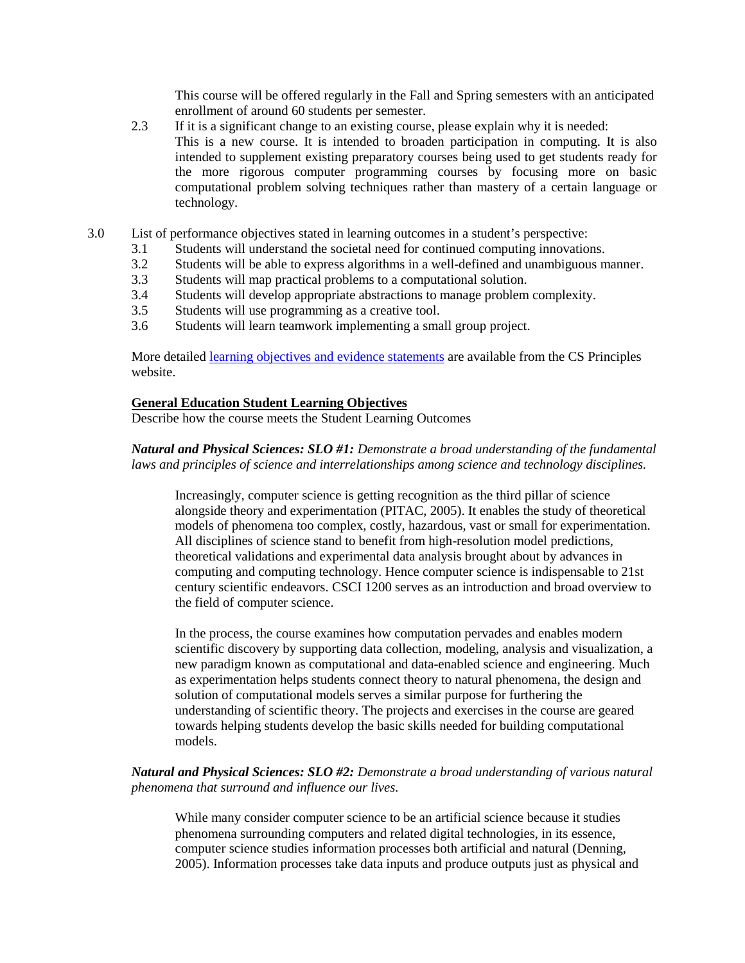This course will be offered regularly in the Fall and Spring semesters with an anticipated enrollment of around 60 students per semester.

- 2.3 If it is a significant change to an existing course, please explain why it is needed: This is a new course. It is intended to broaden participation in computing. It is also intended to supplement existing preparatory courses being used to get students ready for the more rigorous computer programming courses by focusing more on basic computational problem solving techniques rather than mastery of a certain language or technology.
- 3.0 List of performance objectives stated in learning outcomes in a student's perspective:
	- 3.1 Students will understand the societal need for continued computing innovations.
	- 3.2 Students will be able to express algorithms in a well-defined and unambiguous manner.
	- 3.3 Students will map practical problems to a computational solution.
	- 3.4 Students will develop appropriate abstractions to manage problem complexity.
	- 3.5 Students will use programming as a creative tool.
	- 3.6 Students will learn teamwork implementing a small group project.

More detailed [learning objectives and evidence statements](http://www.csprinciples.org/home/about-the-project/docs/CSP_LO_EvidenceStatements.pdf?attredirects=0&d=1) are available from the CS Principles website.

#### **General Education Student Learning Objectives**

Describe how the course meets the Student Learning Outcomes

#### *Natural and Physical Sciences: SLO #1: Demonstrate a broad understanding of the fundamental laws and principles of science and interrelationships among science and technology disciplines.*

Increasingly, computer science is getting recognition as the third pillar of science alongside theory and experimentation (PITAC, 2005). It enables the study of theoretical models of phenomena too complex, costly, hazardous, vast or small for experimentation. All disciplines of science stand to benefit from high-resolution model predictions, theoretical validations and experimental data analysis brought about by advances in computing and computing technology. Hence computer science is indispensable to 21st century scientific endeavors. CSCI 1200 serves as an introduction and broad overview to the field of computer science.

In the process, the course examines how computation pervades and enables modern scientific discovery by supporting data collection, modeling, analysis and visualization, a new paradigm known as computational and data-enabled science and engineering. Much as experimentation helps students connect theory to natural phenomena, the design and solution of computational models serves a similar purpose for furthering the understanding of scientific theory. The projects and exercises in the course are geared towards helping students develop the basic skills needed for building computational models.

### *Natural and Physical Sciences: SLO #2: Demonstrate a broad understanding of various natural phenomena that surround and influence our lives.*

While many consider computer science to be an artificial science because it studies phenomena surrounding computers and related digital technologies, in its essence, computer science studies information processes both artificial and natural (Denning, 2005). Information processes take data inputs and produce outputs just as physical and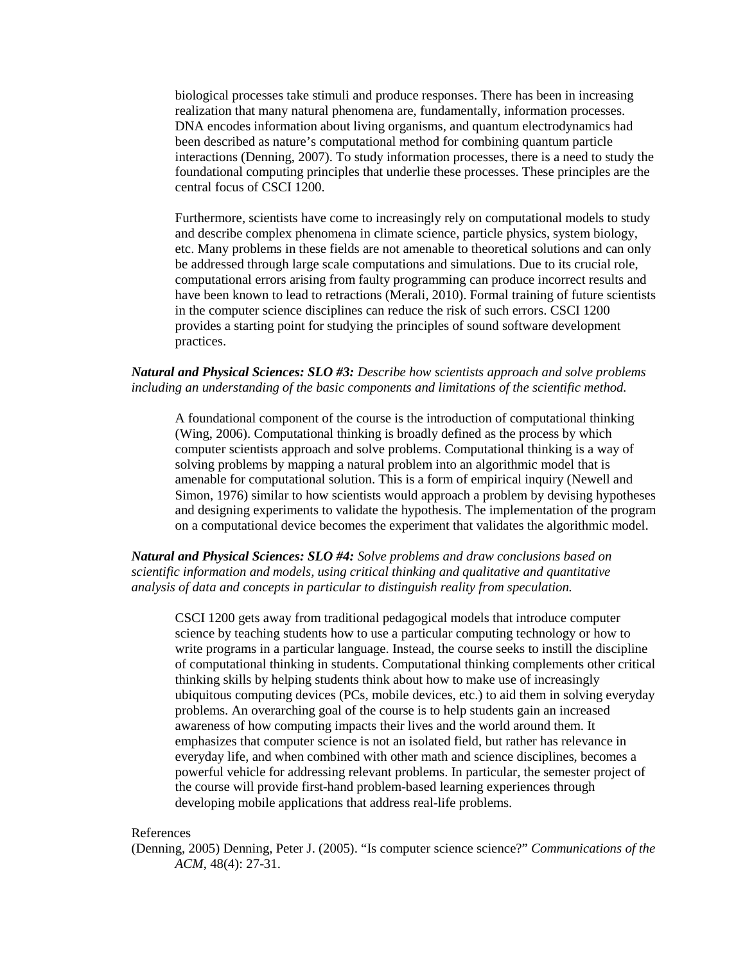biological processes take stimuli and produce responses. There has been in increasing realization that many natural phenomena are, fundamentally, information processes. DNA encodes information about living organisms, and quantum electrodynamics had been described as nature's computational method for combining quantum particle interactions (Denning, 2007). To study information processes, there is a need to study the foundational computing principles that underlie these processes. These principles are the central focus of CSCI 1200.

Furthermore, scientists have come to increasingly rely on computational models to study and describe complex phenomena in climate science, particle physics, system biology, etc. Many problems in these fields are not amenable to theoretical solutions and can only be addressed through large scale computations and simulations. Due to its crucial role, computational errors arising from faulty programming can produce incorrect results and have been known to lead to retractions (Merali, 2010). Formal training of future scientists in the computer science disciplines can reduce the risk of such errors. CSCI 1200 provides a starting point for studying the principles of sound software development practices.

#### *Natural and Physical Sciences: SLO #3: Describe how scientists approach and solve problems including an understanding of the basic components and limitations of the scientific method.*

A foundational component of the course is the introduction of computational thinking (Wing, 2006). Computational thinking is broadly defined as the process by which computer scientists approach and solve problems. Computational thinking is a way of solving problems by mapping a natural problem into an algorithmic model that is amenable for computational solution. This is a form of empirical inquiry (Newell and Simon, 1976) similar to how scientists would approach a problem by devising hypotheses and designing experiments to validate the hypothesis. The implementation of the program on a computational device becomes the experiment that validates the algorithmic model.

*Natural and Physical Sciences: SLO #4: Solve problems and draw conclusions based on scientific information and models, using critical thinking and qualitative and quantitative analysis of data and concepts in particular to distinguish reality from speculation.*

CSCI 1200 gets away from traditional pedagogical models that introduce computer science by teaching students how to use a particular computing technology or how to write programs in a particular language. Instead, the course seeks to instill the discipline of computational thinking in students. Computational thinking complements other critical thinking skills by helping students think about how to make use of increasingly ubiquitous computing devices (PCs, mobile devices, etc.) to aid them in solving everyday problems. An overarching goal of the course is to help students gain an increased awareness of how computing impacts their lives and the world around them. It emphasizes that computer science is not an isolated field, but rather has relevance in everyday life, and when combined with other math and science disciplines, becomes a powerful vehicle for addressing relevant problems. In particular, the semester project of the course will provide first-hand problem-based learning experiences through developing mobile applications that address real-life problems.

#### References

(Denning, 2005) Denning, Peter J. (2005). "Is computer science science?" *Communications of the ACM*, 48(4): 27-31.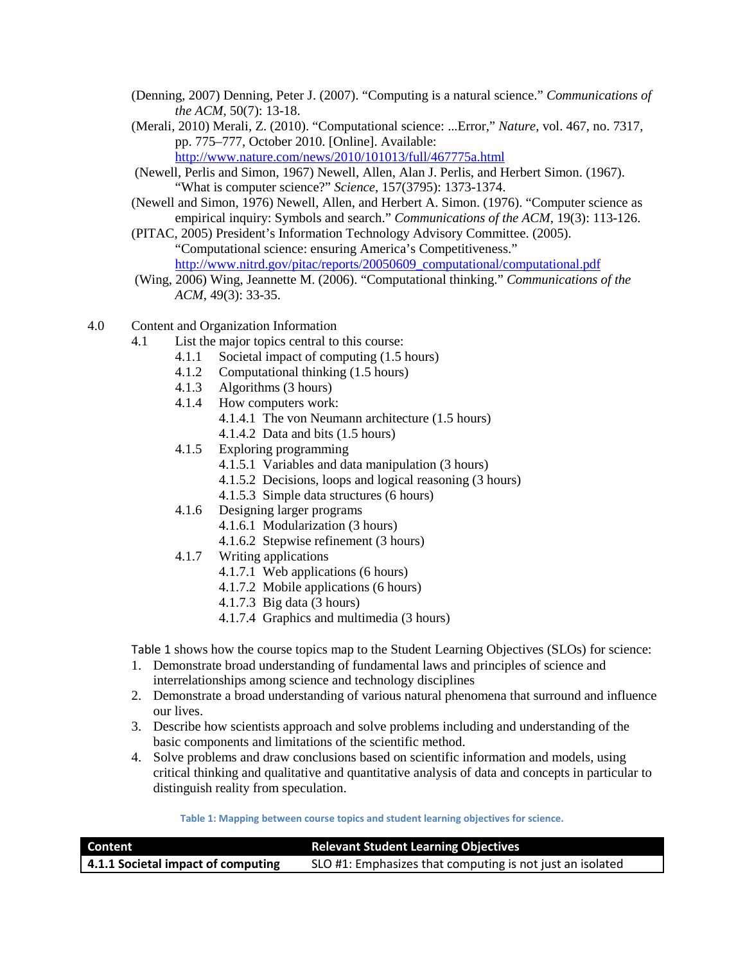- (Denning, 2007) Denning, Peter J. (2007). "Computing is a natural science." *Communications of the ACM*, 50(7): 13-18.
- (Merali, 2010) Merali, Z. (2010). "Computational science: ...Error," *Nature*, vol. 467, no. 7317, pp. 775–777, October 2010. [Online]. Available:

<http://www.nature.com/news/2010/101013/full/467775a.html>

- (Newell, Perlis and Simon, 1967) Newell, Allen, Alan J. Perlis, and Herbert Simon. (1967). "What is computer science?" *Science*, 157(3795): 1373-1374.
- (Newell and Simon, 1976) Newell, Allen, and Herbert A. Simon. (1976). "Computer science as empirical inquiry: Symbols and search." *Communications of the ACM*, 19(3): 113-126.
- (PITAC, 2005) President's Information Technology Advisory Committee. (2005). "Computational science: ensuring America's Competitiveness." [http://www.nitrd.gov/pitac/reports/20050609\\_computational/computational.pdf](http://www.nitrd.gov/pitac/reports/20050609_computational/computational.pdf)
- (Wing, 2006) Wing, Jeannette M. (2006). "Computational thinking." *Communications of the ACM*, 49(3): 33-35.
- 4.0 Content and Organization Information
	- 4.1 List the major topics central to this course:
		- 4.1.1 Societal impact of computing (1.5 hours)
		- 4.1.2 Computational thinking (1.5 hours)
		- 4.1.3 Algorithms (3 hours)
		- 4.1.4 How computers work:
			- 4.1.4.1 The von Neumann architecture (1.5 hours)
			- 4.1.4.2 Data and bits (1.5 hours)
		- 4.1.5 Exploring programming
			- 4.1.5.1 Variables and data manipulation (3 hours)
			- 4.1.5.2 Decisions, loops and logical reasoning (3 hours)
			- 4.1.5.3 Simple data structures (6 hours)
		- 4.1.6 Designing larger programs
			- 4.1.6.1 Modularization (3 hours)
			- 4.1.6.2 Stepwise refinement (3 hours)
		- 4.1.7 Writing applications
			- 4.1.7.1 Web applications (6 hours)
			- 4.1.7.2 Mobile applications (6 hours)
			- 4.1.7.3 Big data (3 hours)
			- 4.1.7.4 Graphics and multimedia (3 hours)

[Table 1](#page-3-0) shows how the course topics map to the Student Learning Objectives (SLOs) for science:

- 1. Demonstrate broad understanding of fundamental laws and principles of science and interrelationships among science and technology disciplines
- 2. Demonstrate a broad understanding of various natural phenomena that surround and influence our lives.
- 3. Describe how scientists approach and solve problems including and understanding of the basic components and limitations of the scientific method.
- 4. Solve problems and draw conclusions based on scientific information and models, using critical thinking and qualitative and quantitative analysis of data and concepts in particular to distinguish reality from speculation.

**Table 1: Mapping between course topics and student learning objectives for science.**

<span id="page-3-0"></span>

| Content                            | <b>Relevant Student Learning Objectives</b>               |
|------------------------------------|-----------------------------------------------------------|
| 4.1.1 Societal impact of computing | SLO #1: Emphasizes that computing is not just an isolated |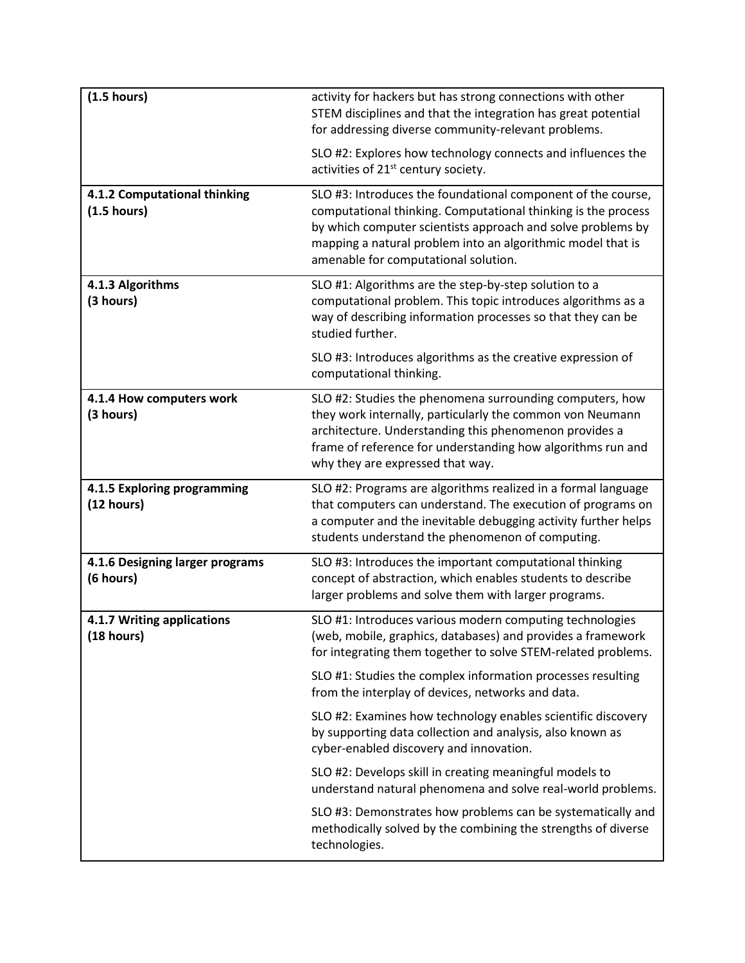| (1.5 hours)                                        | activity for hackers but has strong connections with other<br>STEM disciplines and that the integration has great potential<br>for addressing diverse community-relevant problems.                                                                                                                  |
|----------------------------------------------------|-----------------------------------------------------------------------------------------------------------------------------------------------------------------------------------------------------------------------------------------------------------------------------------------------------|
|                                                    | SLO #2: Explores how technology connects and influences the<br>activities of 21 <sup>st</sup> century society.                                                                                                                                                                                      |
| 4.1.2 Computational thinking<br>(1.5 hours)        | SLO #3: Introduces the foundational component of the course,<br>computational thinking. Computational thinking is the process<br>by which computer scientists approach and solve problems by<br>mapping a natural problem into an algorithmic model that is<br>amenable for computational solution. |
| 4.1.3 Algorithms<br>(3 hours)                      | SLO #1: Algorithms are the step-by-step solution to a<br>computational problem. This topic introduces algorithms as a<br>way of describing information processes so that they can be<br>studied further.                                                                                            |
|                                                    | SLO #3: Introduces algorithms as the creative expression of<br>computational thinking.                                                                                                                                                                                                              |
| 4.1.4 How computers work<br>(3 hours)              | SLO #2: Studies the phenomena surrounding computers, how<br>they work internally, particularly the common von Neumann<br>architecture. Understanding this phenomenon provides a<br>frame of reference for understanding how algorithms run and<br>why they are expressed that way.                  |
| 4.1.5 Exploring programming<br>(12 hours)          | SLO #2: Programs are algorithms realized in a formal language<br>that computers can understand. The execution of programs on<br>a computer and the inevitable debugging activity further helps<br>students understand the phenomenon of computing.                                                  |
| 4.1.6 Designing larger programs<br>(6 hours)       | SLO #3: Introduces the important computational thinking<br>concept of abstraction, which enables students to describe<br>larger problems and solve them with larger programs.                                                                                                                       |
| 4.1.7 Writing applications<br>$(18 \text{ hours})$ | SLO #1: Introduces various modern computing technologies<br>(web, mobile, graphics, databases) and provides a framework<br>for integrating them together to solve STEM-related problems.                                                                                                            |
|                                                    | SLO #1: Studies the complex information processes resulting<br>from the interplay of devices, networks and data.                                                                                                                                                                                    |
|                                                    | SLO #2: Examines how technology enables scientific discovery<br>by supporting data collection and analysis, also known as<br>cyber-enabled discovery and innovation.                                                                                                                                |
|                                                    | SLO #2: Develops skill in creating meaningful models to<br>understand natural phenomena and solve real-world problems.                                                                                                                                                                              |
|                                                    | SLO #3: Demonstrates how problems can be systematically and<br>methodically solved by the combining the strengths of diverse<br>technologies.                                                                                                                                                       |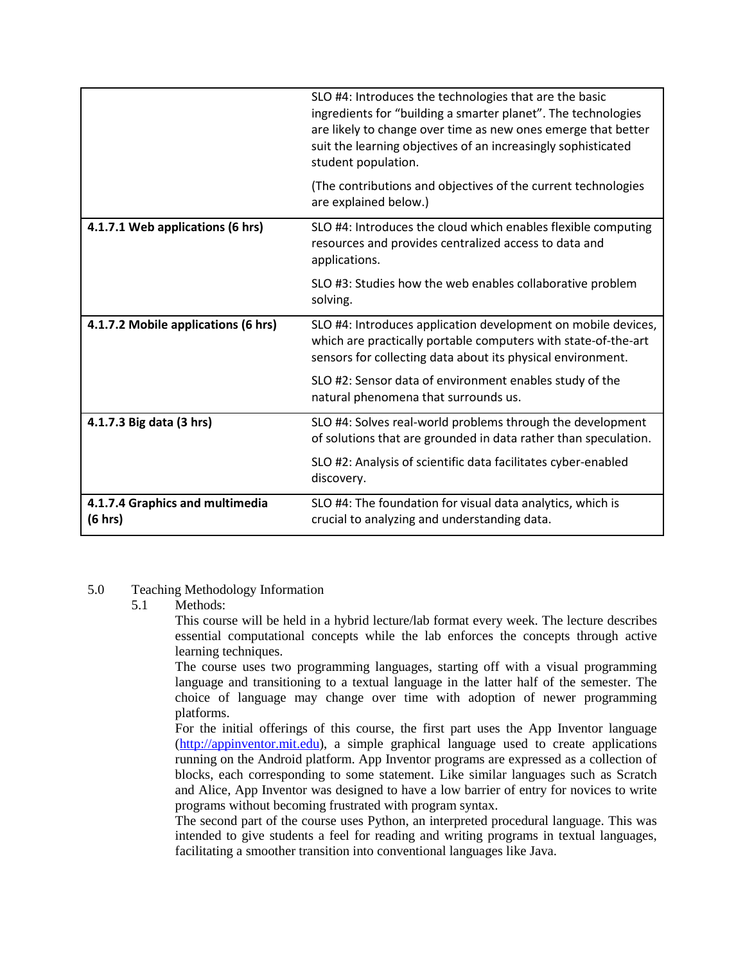|                                            | SLO #4: Introduces the technologies that are the basic<br>ingredients for "building a smarter planet". The technologies<br>are likely to change over time as new ones emerge that better<br>suit the learning objectives of an increasingly sophisticated<br>student population. |
|--------------------------------------------|----------------------------------------------------------------------------------------------------------------------------------------------------------------------------------------------------------------------------------------------------------------------------------|
|                                            | (The contributions and objectives of the current technologies<br>are explained below.)                                                                                                                                                                                           |
| 4.1.7.1 Web applications (6 hrs)           | SLO #4: Introduces the cloud which enables flexible computing<br>resources and provides centralized access to data and<br>applications.                                                                                                                                          |
|                                            | SLO #3: Studies how the web enables collaborative problem<br>solving.                                                                                                                                                                                                            |
| 4.1.7.2 Mobile applications (6 hrs)        | SLO #4: Introduces application development on mobile devices,<br>which are practically portable computers with state-of-the-art<br>sensors for collecting data about its physical environment.                                                                                   |
|                                            | SLO #2: Sensor data of environment enables study of the<br>natural phenomena that surrounds us.                                                                                                                                                                                  |
| 4.1.7.3 Big data (3 hrs)                   | SLO #4: Solves real-world problems through the development<br>of solutions that are grounded in data rather than speculation.                                                                                                                                                    |
|                                            | SLO #2: Analysis of scientific data facilitates cyber-enabled<br>discovery.                                                                                                                                                                                                      |
| 4.1.7.4 Graphics and multimedia<br>(6 hrs) | SLO #4: The foundation for visual data analytics, which is<br>crucial to analyzing and understanding data.                                                                                                                                                                       |

#### 5.0 Teaching Methodology Information

#### 5.1 Methods:

This course will be held in a hybrid lecture/lab format every week. The lecture describes essential computational concepts while the lab enforces the concepts through active learning techniques.

The course uses two programming languages, starting off with a visual programming language and transitioning to a textual language in the latter half of the semester. The choice of language may change over time with adoption of newer programming platforms.

For the initial offerings of this course, the first part uses the App Inventor language [\(http://appinventor.mit.edu\)](http://appinventor.mit.edu/), a simple graphical language used to create applications running on the Android platform. App Inventor programs are expressed as a collection of blocks, each corresponding to some statement. Like similar languages such as Scratch and Alice, App Inventor was designed to have a low barrier of entry for novices to write programs without becoming frustrated with program syntax.

The second part of the course uses Python, an interpreted procedural language. This was intended to give students a feel for reading and writing programs in textual languages, facilitating a smoother transition into conventional languages like Java.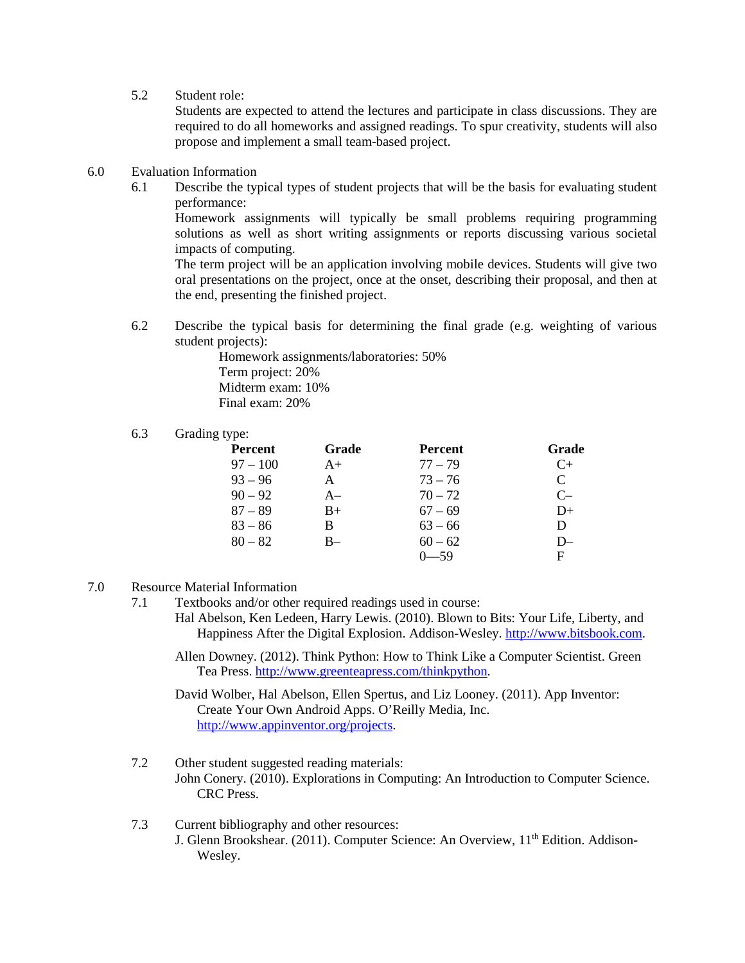5.2 Student role:

Students are expected to attend the lectures and participate in class discussions. They are required to do all homeworks and assigned readings. To spur creativity, students will also propose and implement a small team-based project.

- 6.0 Evaluation Information
	- 6.1 Describe the typical types of student projects that will be the basis for evaluating student performance:

Homework assignments will typically be small problems requiring programming solutions as well as short writing assignments or reports discussing various societal impacts of computing.

The term project will be an application involving mobile devices. Students will give two oral presentations on the project, once at the onset, describing their proposal, and then at the end, presenting the finished project.

6.2 Describe the typical basis for determining the final grade (e.g. weighting of various student projects):

> Homework assignments/laboratories: 50% Term project: 20% Midterm exam: 10% Final exam: 20%

#### 6.3 Grading type:

| Percent    | Grade | <b>Percent</b> | Grade        |
|------------|-------|----------------|--------------|
| $97 - 100$ | $A+$  | $77 - 79$      | C+           |
| $93 - 96$  | A     | $73 - 76$      | $\mathsf{C}$ |
| $90 - 92$  | $A-$  | $70 - 72$      | $C-$         |
| $87 - 89$  | $B+$  | $67 - 69$      | $D+$         |
| $83 - 86$  | В     | $63 - 66$      | D            |
| $80 - 82$  | B-    | $60 - 62$      | $D-$         |
|            |       | $0 - 59$       | F            |

#### 7.0 Resource Material Information

- 7.1 Textbooks and/or other required readings used in course:
	- Hal Abelson, Ken Ledeen, Harry Lewis. (2010). Blown to Bits: Your Life, Liberty, and Happiness After the Digital Explosion. Addison-Wesley. [http://www.bitsbook.com.](http://www.bitsbook.com/)
	- Allen Downey. (2012). Think Python: How to Think Like a Computer Scientist. Green Tea Press. [http://www.greenteapress.com/thinkpython.](http://www.greenteapress.com/thinkpython)

David Wolber, Hal Abelson, Ellen Spertus, and Liz Looney. (2011). App Inventor: Create Your Own Android Apps. O'Reilly Media, Inc. [http://www.appinventor.org/projects.](http://www.appinventor.org/projects)

- 7.2 Other student suggested reading materials: John Conery. (2010). Explorations in Computing: An Introduction to Computer Science. CRC Press.
- 7.3 Current bibliography and other resources: J. Glenn Brookshear. (2011). Computer Science: An Overview, 11<sup>th</sup> Edition. Addison-Wesley.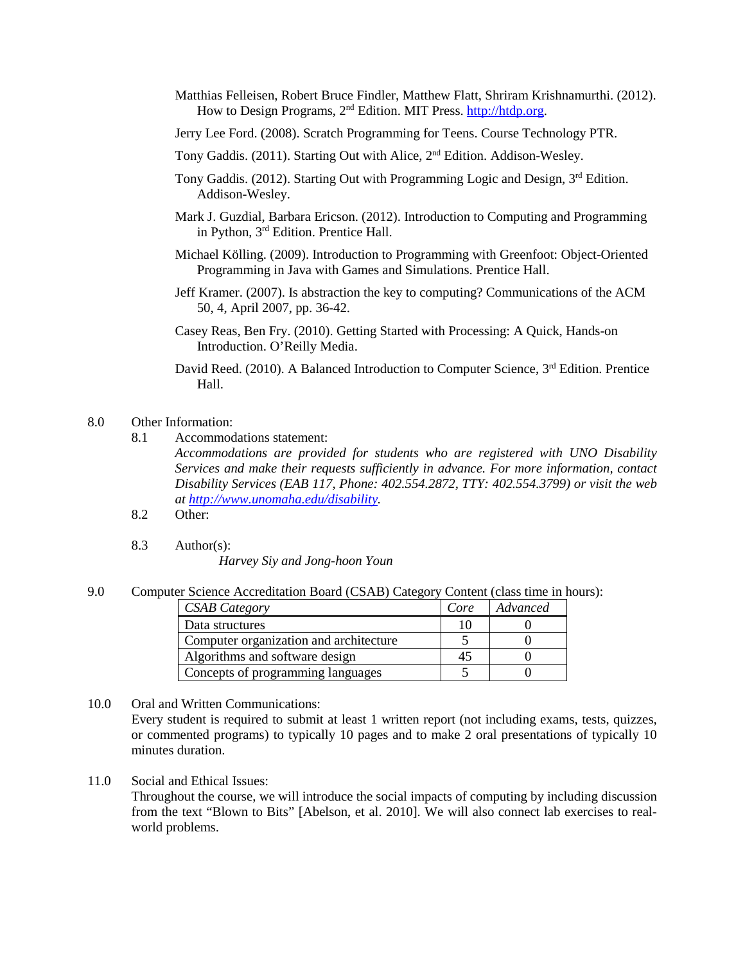- Matthias Felleisen, Robert Bruce Findler, Matthew Flatt, Shriram Krishnamurthi. (2012). How to Design Programs, 2nd Edition. MIT Press. [http://htdp.org.](http://htdp.org/)
- Jerry Lee Ford. (2008). Scratch Programming for Teens. Course Technology PTR.
- Tony Gaddis. (2011). Starting Out with Alice, 2<sup>nd</sup> Edition. Addison-Wesley.
- Tony Gaddis. (2012). Starting Out with Programming Logic and Design, 3rd Edition. Addison-Wesley.
- Mark J. Guzdial, Barbara Ericson. (2012). Introduction to Computing and Programming in Python, 3rd Edition. Prentice Hall.
- Michael Kölling. (2009). Introduction to Programming with Greenfoot: Object-Oriented Programming in Java with Games and Simulations. Prentice Hall.
- Jeff Kramer. (2007). Is abstraction the key to computing? Communications of the ACM 50, 4, April 2007, pp. 36-42.
- Casey Reas, Ben Fry. (2010). Getting Started with Processing: A Quick, Hands-on Introduction. O'Reilly Media.
- David Reed. (2010). A Balanced Introduction to Computer Science, 3<sup>rd</sup> Edition. Prentice Hall.
- 8.0 Other Information:
	- 8.1 Accommodations statement:

*Accommodations are provided for students who are registered with UNO Disability Services and make their requests sufficiently in advance. For more information, contact Disability Services (EAB 117, Phone: 402.554.2872, TTY: 402.554.3799) or visit the web at [http://www.unomaha.edu/disability.](http://www.unomaha.edu/disability)*

- 8.2 Other:
- 8.3 Author(s):

*Harvey Siy and Jong-hoon Youn*

9.0 Computer Science Accreditation Board (CSAB) Category Content (class time in hours):

| <b>CSAB</b> Category                   | Core | Advanced |
|----------------------------------------|------|----------|
| Data structures                        |      |          |
| Computer organization and architecture |      |          |
| Algorithms and software design         | 47   |          |
| Concepts of programming languages      |      |          |

- 10.0 Oral and Written Communications: Every student is required to submit at least 1 written report (not including exams, tests, quizzes, or commented programs) to typically 10 pages and to make 2 oral presentations of typically 10 minutes duration.
- 11.0 Social and Ethical Issues:

Throughout the course, we will introduce the social impacts of computing by including discussion from the text "Blown to Bits" [Abelson, et al. 2010]. We will also connect lab exercises to realworld problems.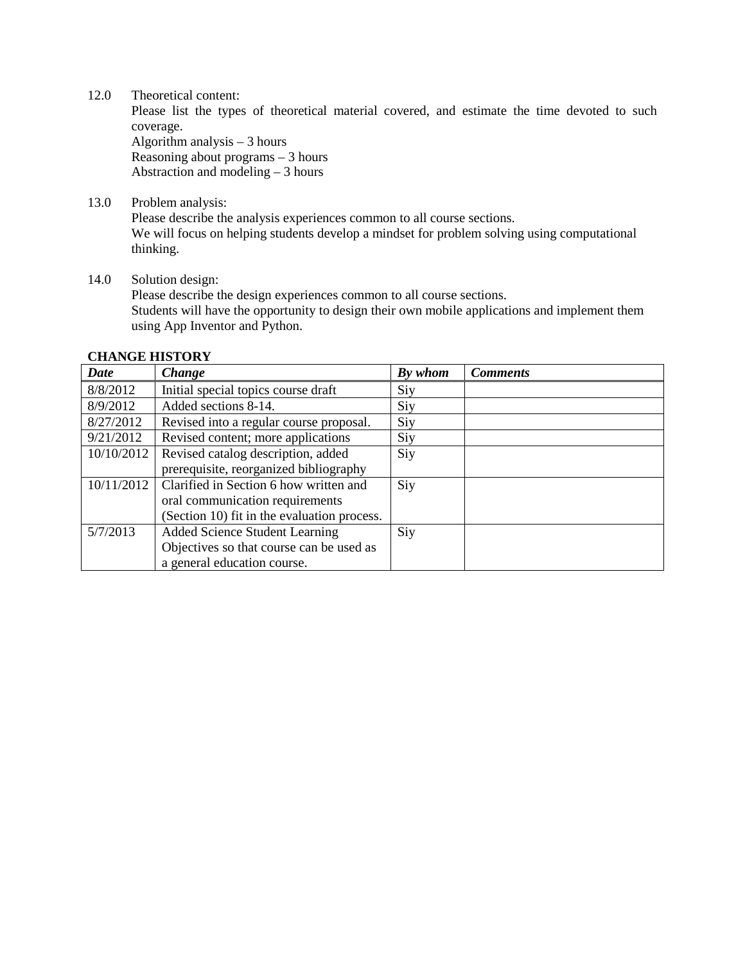12.0 Theoretical content:

Please list the types of theoretical material covered, and estimate the time devoted to such coverage.

Algorithm analysis – 3 hours Reasoning about programs – 3 hours Abstraction and modeling – 3 hours

13.0 Problem analysis:

Please describe the analysis experiences common to all course sections. We will focus on helping students develop a mindset for problem solving using computational thinking.

### 14.0 Solution design: Please describe the design experiences common to all course sections. Students will have the opportunity to design their own mobile applications and implement them using App Inventor and Python.

| Date       | Change                                      | By whom | <b>Comments</b> |
|------------|---------------------------------------------|---------|-----------------|
| 8/8/2012   | Initial special topics course draft         | Siy     |                 |
| 8/9/2012   | Added sections 8-14.                        | Siy     |                 |
| 8/27/2012  | Revised into a regular course proposal.     | Siy     |                 |
| 9/21/2012  | Revised content; more applications          | Siy     |                 |
| 10/10/2012 | Revised catalog description, added          | Siy     |                 |
|            | prerequisite, reorganized bibliography      |         |                 |
| 10/11/2012 | Clarified in Section 6 how written and      | Siy     |                 |
|            | oral communication requirements             |         |                 |
|            | (Section 10) fit in the evaluation process. |         |                 |
| 5/7/2013   | <b>Added Science Student Learning</b>       | Siy     |                 |
|            | Objectives so that course can be used as    |         |                 |
|            | a general education course.                 |         |                 |

# **CHANGE HISTORY**